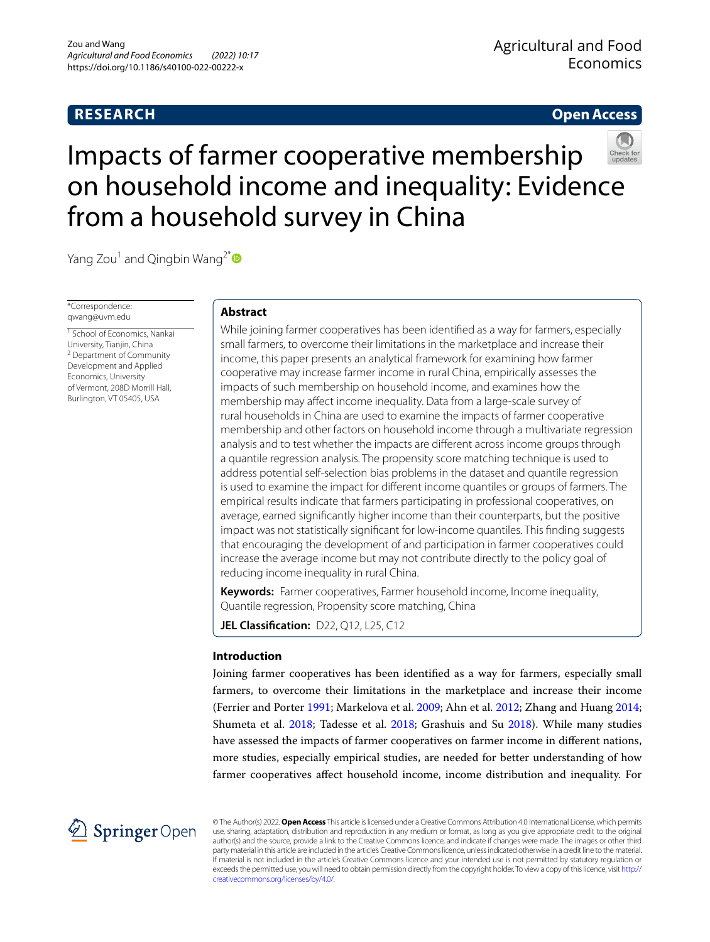# **RESEARCH**

# **Open Access**

# Impacts of farmer cooperative membership on household income and inequality: Evidence from a household survey in China



Yang Zou<sup>1</sup> and Qingbin Wang<sup>2\*</sup>

\*Correspondence: qwang@uvm.edu

<sup>1</sup> School of Economics, Nankai University, Tianjin, China <sup>2</sup> Department of Community Development and Applied Economics, University of Vermont, 208D Morrill Hall, Burlington, VT 05405, USA

# **Abstract**

While joining farmer cooperatives has been identifed as a way for farmers, especially small farmers, to overcome their limitations in the marketplace and increase their income, this paper presents an analytical framework for examining how farmer cooperative may increase farmer income in rural China, empirically assesses the impacts of such membership on household income, and examines how the membership may afect income inequality. Data from a large-scale survey of rural households in China are used to examine the impacts of farmer cooperative membership and other factors on household income through a multivariate regression analysis and to test whether the impacts are diferent across income groups through a quantile regression analysis. The propensity score matching technique is used to address potential self-selection bias problems in the dataset and quantile regression is used to examine the impact for diferent income quantiles or groups of farmers. The empirical results indicate that farmers participating in professional cooperatives, on average, earned signifcantly higher income than their counterparts, but the positive impact was not statistically signifcant for low-income quantiles. This fnding suggests that encouraging the development of and participation in farmer cooperatives could increase the average income but may not contribute directly to the policy goal of reducing income inequality in rural China.

**Keywords:** Farmer cooperatives, Farmer household income, Income inequality, Quantile regression, Propensity score matching, China

**JEL Classification:** D22, Q12, L25, C12

# **Introduction**

Joining farmer cooperatives has been identifed as a way for farmers, especially small farmers, to overcome their limitations in the marketplace and increase their income (Ferrier and Porter [1991](#page-15-0); Markelova et al. [2009](#page-15-1); Ahn et al. [2012;](#page-15-2) Zhang and Huang [2014](#page-16-0); Shumeta et al. [2018](#page-15-3); Tadesse et al. [2018;](#page-16-1) Grashuis and Su [2018](#page-15-4)). While many studies have assessed the impacts of farmer cooperatives on farmer income in diferent nations, more studies, especially empirical studies, are needed for better understanding of how farmer cooperatives afect household income, income distribution and inequality. For



© The Author(s) 2022. **Open Access** This article is licensed under a Creative Commons Attribution 4.0 International License, which permits use, sharing, adaptation, distribution and reproduction in any medium or format, as long as you give appropriate credit to the original author(s) and the source, provide a link to the Creative Commons licence, and indicate if changes were made. The images or other third party material in this article are included in the article's Creative Commons licence, unless indicated otherwise in a credit line to the material. If material is not included in the article's Creative Commons licence and your intended use is not permitted by statutory regulation or exceeds the permitted use, you will need to obtain permission directly from the copyright holder. To view a copy of this licence, visit [http://](http://creativecommons.org/licenses/by/4.0/) [creativecommons.org/licenses/by/4.0/.](http://creativecommons.org/licenses/by/4.0/)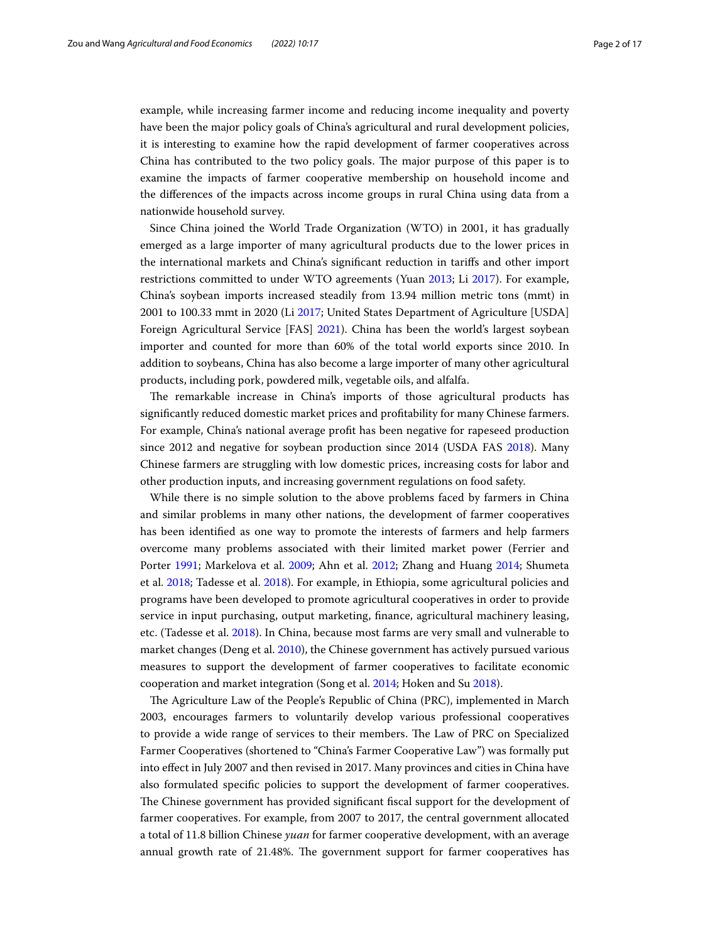example, while increasing farmer income and reducing income inequality and poverty have been the major policy goals of China's agricultural and rural development policies, it is interesting to examine how the rapid development of farmer cooperatives across China has contributed to the two policy goals. The major purpose of this paper is to examine the impacts of farmer cooperative membership on household income and the diferences of the impacts across income groups in rural China using data from a nationwide household survey.

Since China joined the World Trade Organization (WTO) in 2001, it has gradually emerged as a large importer of many agricultural products due to the lower prices in the international markets and China's signifcant reduction in tarifs and other import restrictions committed to under WTO agreements (Yuan [2013](#page-16-2); Li [2017\)](#page-15-5). For example, China's soybean imports increased steadily from 13.94 million metric tons (mmt) in 2001 to 100.33 mmt in 2020 (Li [2017](#page-15-5); United States Department of Agriculture [USDA] Foreign Agricultural Service [FAS] [2021](#page-16-3)). China has been the world's largest soybean importer and counted for more than 60% of the total world exports since 2010. In addition to soybeans, China has also become a large importer of many other agricultural products, including pork, powdered milk, vegetable oils, and alfalfa.

The remarkable increase in China's imports of those agricultural products has signifcantly reduced domestic market prices and proftability for many Chinese farmers. For example, China's national average proft has been negative for rapeseed production since 2012 and negative for soybean production since 2014 (USDA FAS [2018](#page-16-4)). Many Chinese farmers are struggling with low domestic prices, increasing costs for labor and other production inputs, and increasing government regulations on food safety.

While there is no simple solution to the above problems faced by farmers in China and similar problems in many other nations, the development of farmer cooperatives has been identifed as one way to promote the interests of farmers and help farmers overcome many problems associated with their limited market power (Ferrier and Porter [1991](#page-15-0); Markelova et al. [2009;](#page-15-1) Ahn et al. [2012;](#page-15-2) Zhang and Huang [2014;](#page-16-0) Shumeta et al. [2018;](#page-15-3) Tadesse et al. [2018](#page-16-1)). For example, in Ethiopia, some agricultural policies and programs have been developed to promote agricultural cooperatives in order to provide service in input purchasing, output marketing, fnance, agricultural machinery leasing, etc. (Tadesse et al. [2018](#page-16-1)). In China, because most farms are very small and vulnerable to market changes (Deng et al. [2010\)](#page-15-6), the Chinese government has actively pursued various measures to support the development of farmer cooperatives to facilitate economic cooperation and market integration (Song et al. [2014;](#page-16-5) Hoken and Su [2018\)](#page-15-7).

The Agriculture Law of the People's Republic of China (PRC), implemented in March 2003, encourages farmers to voluntarily develop various professional cooperatives to provide a wide range of services to their members. The Law of PRC on Specialized Farmer Cooperatives (shortened to "China's Farmer Cooperative Law") was formally put into efect in July 2007 and then revised in 2017. Many provinces and cities in China have also formulated specifc policies to support the development of farmer cooperatives. The Chinese government has provided significant fiscal support for the development of farmer cooperatives. For example, from 2007 to 2017, the central government allocated a total of 11.8 billion Chinese *yuan* for farmer cooperative development, with an average annual growth rate of 21.48%. The government support for farmer cooperatives has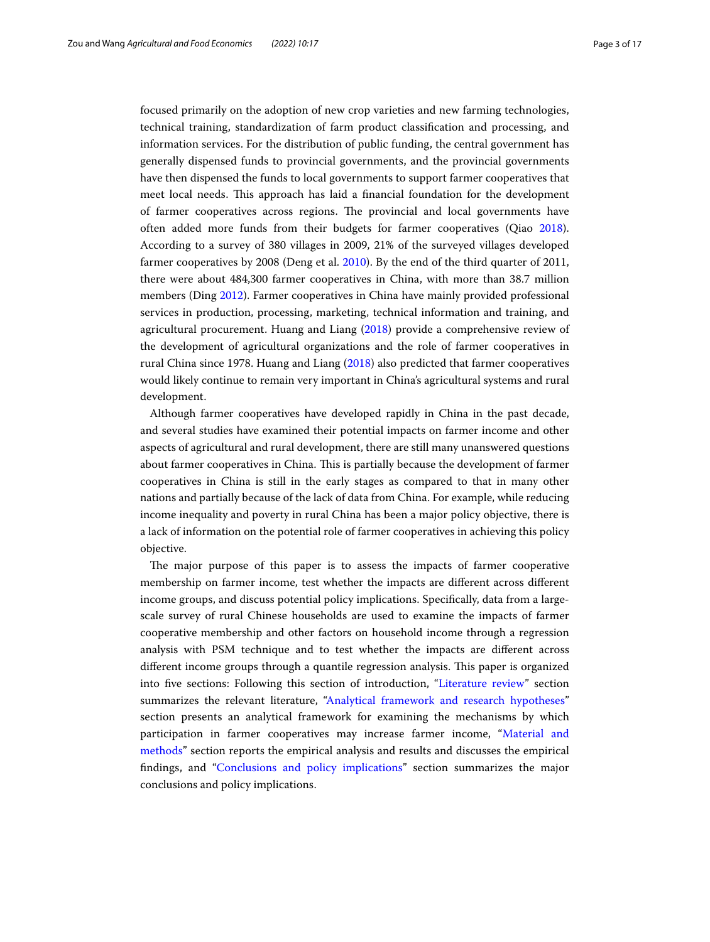focused primarily on the adoption of new crop varieties and new farming technologies, technical training, standardization of farm product classifcation and processing, and information services. For the distribution of public funding, the central government has generally dispensed funds to provincial governments, and the provincial governments have then dispensed the funds to local governments to support farmer cooperatives that meet local needs. Tis approach has laid a fnancial foundation for the development of farmer cooperatives across regions. The provincial and local governments have often added more funds from their budgets for farmer cooperatives (Qiao [2018](#page-15-8)). According to a survey of 380 villages in 2009, 21% of the surveyed villages developed farmer cooperatives by 2008 (Deng et al. [2010](#page-15-6)). By the end of the third quarter of 2011, there were about 484,300 farmer cooperatives in China, with more than 38.7 million members (Ding [2012](#page-15-9)). Farmer cooperatives in China have mainly provided professional services in production, processing, marketing, technical information and training, and agricultural procurement. Huang and Liang ([2018\)](#page-15-10) provide a comprehensive review of the development of agricultural organizations and the role of farmer cooperatives in rural China since 1978. Huang and Liang [\(2018](#page-15-10)) also predicted that farmer cooperatives would likely continue to remain very important in China's agricultural systems and rural development.

Although farmer cooperatives have developed rapidly in China in the past decade, and several studies have examined their potential impacts on farmer income and other aspects of agricultural and rural development, there are still many unanswered questions about farmer cooperatives in China. This is partially because the development of farmer cooperatives in China is still in the early stages as compared to that in many other nations and partially because of the lack of data from China. For example, while reducing income inequality and poverty in rural China has been a major policy objective, there is a lack of information on the potential role of farmer cooperatives in achieving this policy objective.

The major purpose of this paper is to assess the impacts of farmer cooperative membership on farmer income, test whether the impacts are diferent across diferent income groups, and discuss potential policy implications. Specifcally, data from a largescale survey of rural Chinese households are used to examine the impacts of farmer cooperative membership and other factors on household income through a regression analysis with PSM technique and to test whether the impacts are diferent across different income groups through a quantile regression analysis. This paper is organized into five sections: Following this section of introduction, ["Literature review](#page-3-0)" section summarizes the relevant literature, ["Analytical framework and research hypotheses](#page-4-0)" section presents an analytical framework for examining the mechanisms by which participation in farmer cooperatives may increase farmer income, "[Material and](#page-6-0)  [methods](#page-6-0)" section reports the empirical analysis and results and discusses the empirical fndings, and "[Conclusions and policy implications"](#page-12-0) section summarizes the major conclusions and policy implications.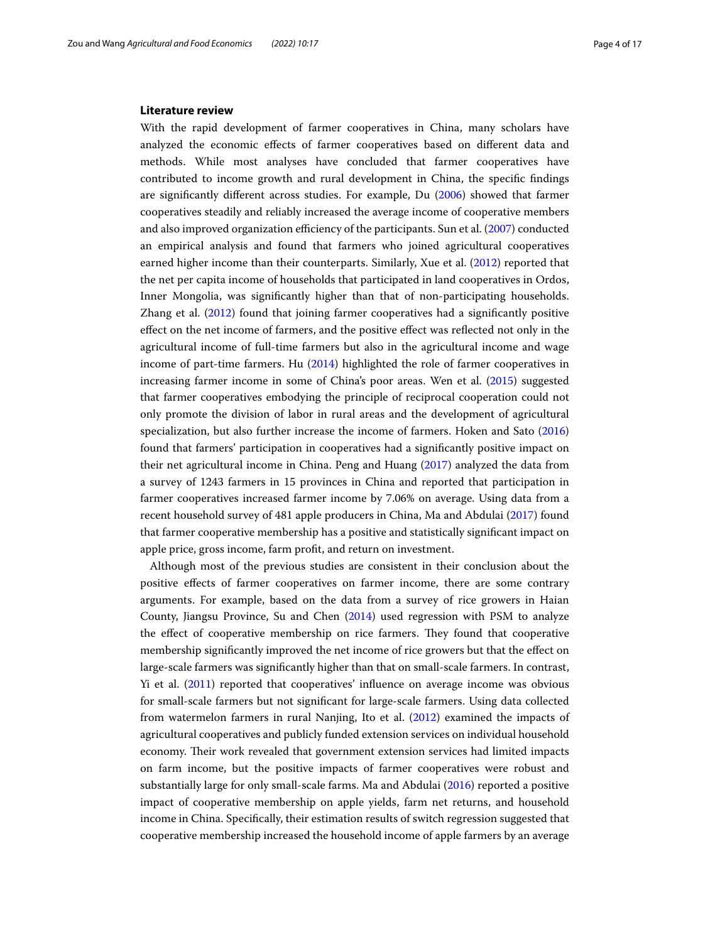#### <span id="page-3-0"></span>**Literature review**

With the rapid development of farmer cooperatives in China, many scholars have analyzed the economic efects of farmer cooperatives based on diferent data and methods. While most analyses have concluded that farmer cooperatives have contributed to income growth and rural development in China, the specifc fndings are signifcantly diferent across studies. For example, Du ([2006\)](#page-15-11) showed that farmer cooperatives steadily and reliably increased the average income of cooperative members and also improved organization efficiency of the participants. Sun et al.  $(2007)$  $(2007)$  $(2007)$  conducted an empirical analysis and found that farmers who joined agricultural cooperatives earned higher income than their counterparts. Similarly, Xue et al. [\(2012](#page-16-7)) reported that the net per capita income of households that participated in land cooperatives in Ordos, Inner Mongolia, was signifcantly higher than that of non-participating households. Zhang et al. ([2012](#page-16-8)) found that joining farmer cooperatives had a significantly positive efect on the net income of farmers, and the positive efect was refected not only in the agricultural income of full-time farmers but also in the agricultural income and wage income of part-time farmers. Hu [\(2014\)](#page-15-12) highlighted the role of farmer cooperatives in increasing farmer income in some of China's poor areas. Wen et al. [\(2015\)](#page-16-9) suggested that farmer cooperatives embodying the principle of reciprocal cooperation could not only promote the division of labor in rural areas and the development of agricultural specialization, but also further increase the income of farmers. Hoken and Sato ([2016](#page-15-13)) found that farmers' participation in cooperatives had a signifcantly positive impact on their net agricultural income in China. Peng and Huang [\(2017\)](#page-15-14) analyzed the data from a survey of 1243 farmers in 15 provinces in China and reported that participation in farmer cooperatives increased farmer income by 7.06% on average. Using data from a recent household survey of 481 apple producers in China, Ma and Abdulai [\(2017\)](#page-15-15) found that farmer cooperative membership has a positive and statistically signifcant impact on apple price, gross income, farm proft, and return on investment.

Although most of the previous studies are consistent in their conclusion about the positive efects of farmer cooperatives on farmer income, there are some contrary arguments. For example, based on the data from a survey of rice growers in Haian County, Jiangsu Province, Su and Chen [\(2014](#page-16-10)) used regression with PSM to analyze the effect of cooperative membership on rice farmers. They found that cooperative membership signifcantly improved the net income of rice growers but that the efect on large-scale farmers was signifcantly higher than that on small-scale farmers. In contrast, Yi et al. ([2011](#page-16-11)) reported that cooperatives' infuence on average income was obvious for small-scale farmers but not signifcant for large-scale farmers. Using data collected from watermelon farmers in rural Nanjing, Ito et al. ([2012](#page-15-16)) examined the impacts of agricultural cooperatives and publicly funded extension services on individual household economy. Their work revealed that government extension services had limited impacts on farm income, but the positive impacts of farmer cooperatives were robust and substantially large for only small-scale farms. Ma and Abdulai [\(2016](#page-15-17)) reported a positive impact of cooperative membership on apple yields, farm net returns, and household income in China. Specifcally, their estimation results of switch regression suggested that cooperative membership increased the household income of apple farmers by an average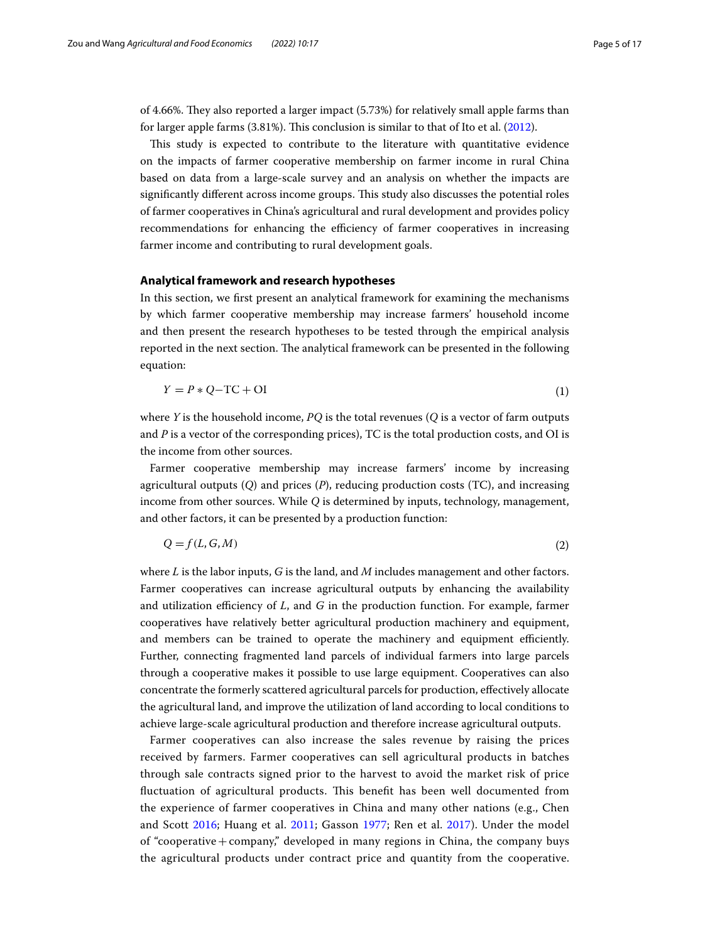of 4.66%. They also reported a larger impact (5.73%) for relatively small apple farms than for larger apple farms  $(3.81\%)$ . This conclusion is similar to that of Ito et al. ([2012\)](#page-15-16).

This study is expected to contribute to the literature with quantitative evidence on the impacts of farmer cooperative membership on farmer income in rural China based on data from a large-scale survey and an analysis on whether the impacts are significantly different across income groups. This study also discusses the potential roles of farmer cooperatives in China's agricultural and rural development and provides policy recommendations for enhancing the efficiency of farmer cooperatives in increasing farmer income and contributing to rural development goals.

## <span id="page-4-0"></span>**Analytical framework and research hypotheses**

In this section, we frst present an analytical framework for examining the mechanisms by which farmer cooperative membership may increase farmers' household income and then present the research hypotheses to be tested through the empirical analysis reported in the next section. The analytical framework can be presented in the following equation:

$$
Y = P \ast Q - TC + OL \tag{1}
$$

where *Y* is the household income, *PQ* is the total revenues (*Q* is a vector of farm outputs and *P* is a vector of the corresponding prices), TC is the total production costs, and OI is the income from other sources.

Farmer cooperative membership may increase farmers' income by increasing agricultural outputs (*Q*) and prices (*P*), reducing production costs (TC), and increasing income from other sources. While *Q* is determined by inputs, technology, management, and other factors, it can be presented by a production function:

$$
Q = f(L, G, M) \tag{2}
$$

where *L* is the labor inputs, *G* is the land, and *M* includes management and other factors. Farmer cooperatives can increase agricultural outputs by enhancing the availability and utilization efficiency of *L*, and *G* in the production function. For example, farmer cooperatives have relatively better agricultural production machinery and equipment, and members can be trained to operate the machinery and equipment efficiently. Further, connecting fragmented land parcels of individual farmers into large parcels through a cooperative makes it possible to use large equipment. Cooperatives can also concentrate the formerly scattered agricultural parcels for production, efectively allocate the agricultural land, and improve the utilization of land according to local conditions to achieve large-scale agricultural production and therefore increase agricultural outputs.

Farmer cooperatives can also increase the sales revenue by raising the prices received by farmers. Farmer cooperatives can sell agricultural products in batches through sale contracts signed prior to the harvest to avoid the market risk of price fuctuation of agricultural products. Tis beneft has been well documented from the experience of farmer cooperatives in China and many other nations (e.g., Chen and Scott [2016](#page-15-18); Huang et al. [2011](#page-15-19); Gasson [1977;](#page-15-20) Ren et al. [2017](#page-15-21)). Under the model of "cooperative+company," developed in many regions in China, the company buys the agricultural products under contract price and quantity from the cooperative.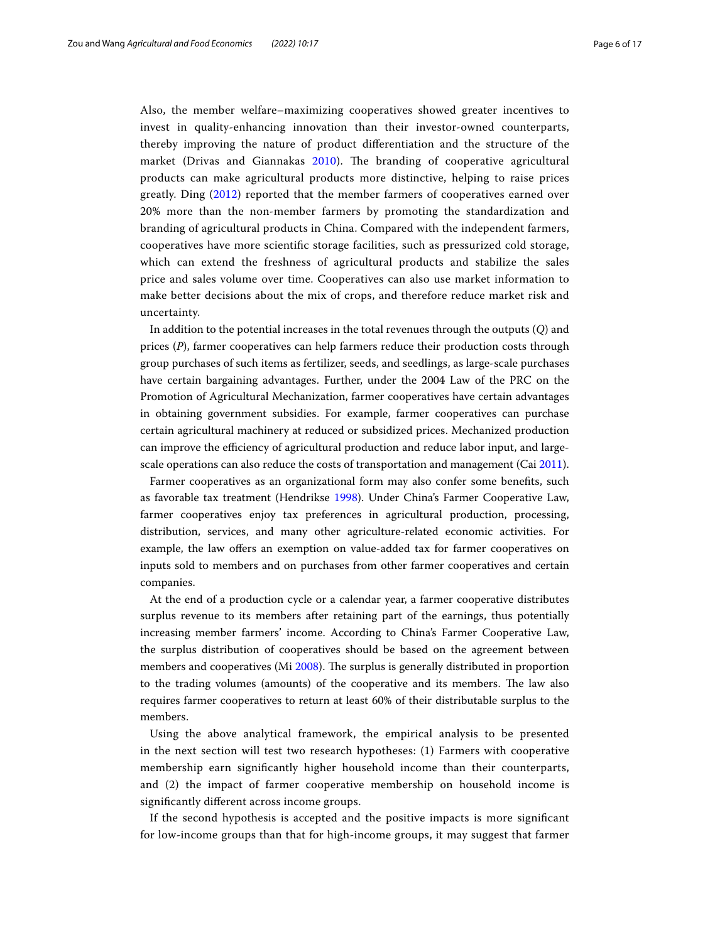Also, the member welfare–maximizing cooperatives showed greater incentives to invest in quality-enhancing innovation than their investor-owned counterparts, thereby improving the nature of product diferentiation and the structure of the market (Drivas and Giannakas  $2010$ ). The branding of cooperative agricultural products can make agricultural products more distinctive, helping to raise prices greatly. Ding ([2012](#page-15-9)) reported that the member farmers of cooperatives earned over 20% more than the non-member farmers by promoting the standardization and branding of agricultural products in China. Compared with the independent farmers, cooperatives have more scientifc storage facilities, such as pressurized cold storage, which can extend the freshness of agricultural products and stabilize the sales price and sales volume over time. Cooperatives can also use market information to make better decisions about the mix of crops, and therefore reduce market risk and uncertainty.

In addition to the potential increases in the total revenues through the outputs (*Q*) and prices (*P*), farmer cooperatives can help farmers reduce their production costs through group purchases of such items as fertilizer, seeds, and seedlings, as large-scale purchases have certain bargaining advantages. Further, under the 2004 Law of the PRC on the Promotion of Agricultural Mechanization, farmer cooperatives have certain advantages in obtaining government subsidies. For example, farmer cooperatives can purchase certain agricultural machinery at reduced or subsidized prices. Mechanized production can improve the efficiency of agricultural production and reduce labor input, and largescale operations can also reduce the costs of transportation and management (Cai [2011](#page-15-23)).

Farmer cooperatives as an organizational form may also confer some benefts, such as favorable tax treatment (Hendrikse [1998](#page-15-24)). Under China's Farmer Cooperative Law, farmer cooperatives enjoy tax preferences in agricultural production, processing, distribution, services, and many other agriculture-related economic activities. For example, the law offers an exemption on value-added tax for farmer cooperatives on inputs sold to members and on purchases from other farmer cooperatives and certain companies.

At the end of a production cycle or a calendar year, a farmer cooperative distributes surplus revenue to its members after retaining part of the earnings, thus potentially increasing member farmers' income. According to China's Farmer Cooperative Law, the surplus distribution of cooperatives should be based on the agreement between members and cooperatives (Mi [2008](#page-15-25)). The surplus is generally distributed in proportion to the trading volumes (amounts) of the cooperative and its members. The law also requires farmer cooperatives to return at least 60% of their distributable surplus to the members.

Using the above analytical framework, the empirical analysis to be presented in the next section will test two research hypotheses: (1) Farmers with cooperative membership earn signifcantly higher household income than their counterparts, and (2) the impact of farmer cooperative membership on household income is signifcantly diferent across income groups.

If the second hypothesis is accepted and the positive impacts is more signifcant for low-income groups than that for high-income groups, it may suggest that farmer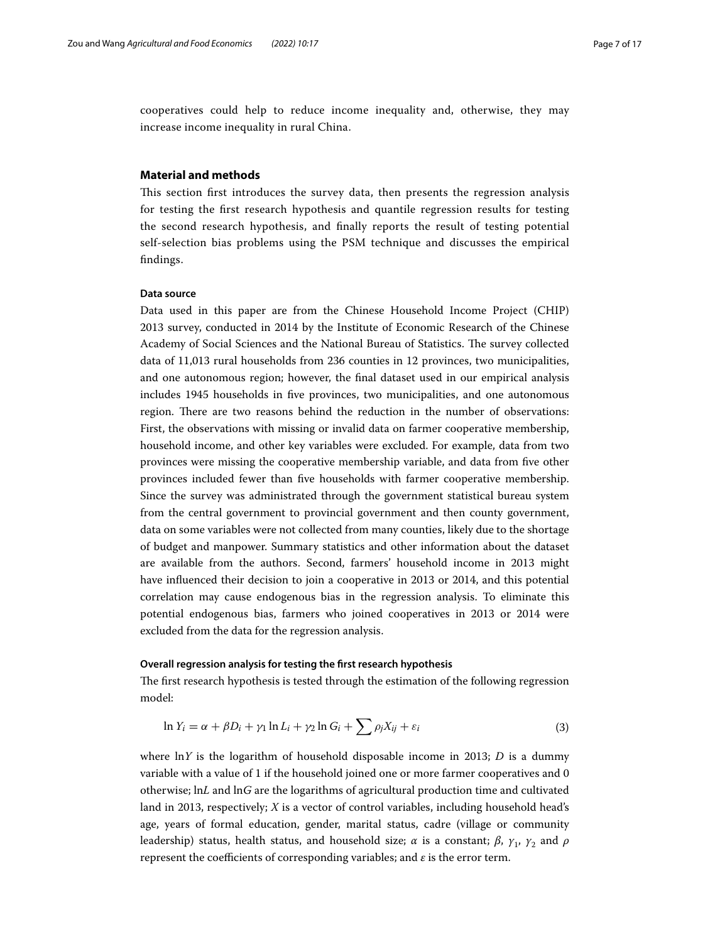cooperatives could help to reduce income inequality and, otherwise, they may increase income inequality in rural China.

## <span id="page-6-0"></span>**Material and methods**

This section first introduces the survey data, then presents the regression analysis for testing the frst research hypothesis and quantile regression results for testing the second research hypothesis, and fnally reports the result of testing potential self-selection bias problems using the PSM technique and discusses the empirical fndings.

#### **Data source**

Data used in this paper are from the Chinese Household Income Project (CHIP) 2013 survey, conducted in 2014 by the Institute of Economic Research of the Chinese Academy of Social Sciences and the National Bureau of Statistics. The survey collected data of 11,013 rural households from 236 counties in 12 provinces, two municipalities, and one autonomous region; however, the fnal dataset used in our empirical analysis includes 1945 households in fve provinces, two municipalities, and one autonomous region. There are two reasons behind the reduction in the number of observations: First, the observations with missing or invalid data on farmer cooperative membership, household income, and other key variables were excluded. For example, data from two provinces were missing the cooperative membership variable, and data from fve other provinces included fewer than fve households with farmer cooperative membership. Since the survey was administrated through the government statistical bureau system from the central government to provincial government and then county government, data on some variables were not collected from many counties, likely due to the shortage of budget and manpower. Summary statistics and other information about the dataset are available from the authors. Second, farmers' household income in 2013 might have infuenced their decision to join a cooperative in 2013 or 2014, and this potential correlation may cause endogenous bias in the regression analysis. To eliminate this potential endogenous bias, farmers who joined cooperatives in 2013 or 2014 were excluded from the data for the regression analysis.

#### **Overall regression analysis for testing the frst research hypothesis**

The first research hypothesis is tested through the estimation of the following regression model:

<span id="page-6-1"></span>
$$
\ln Y_i = \alpha + \beta D_i + \gamma_1 \ln L_i + \gamma_2 \ln G_i + \sum \rho_j X_{ij} + \varepsilon_i
$$
\n(3)

where ln*Y* is the logarithm of household disposable income in 2013; *D* is a dummy variable with a value of 1 if the household joined one or more farmer cooperatives and 0 otherwise; ln*L* and ln*G* are the logarithms of agricultural production time and cultivated land in 2013, respectively; *X* is a vector of control variables, including household head's age, years of formal education, gender, marital status, cadre (village or community leadership) status, health status, and household size; *α* is a constant; *β*,  $γ_1$ ,  $γ_2$  and *ρ* represent the coefficients of corresponding variables; and  $\varepsilon$  is the error term.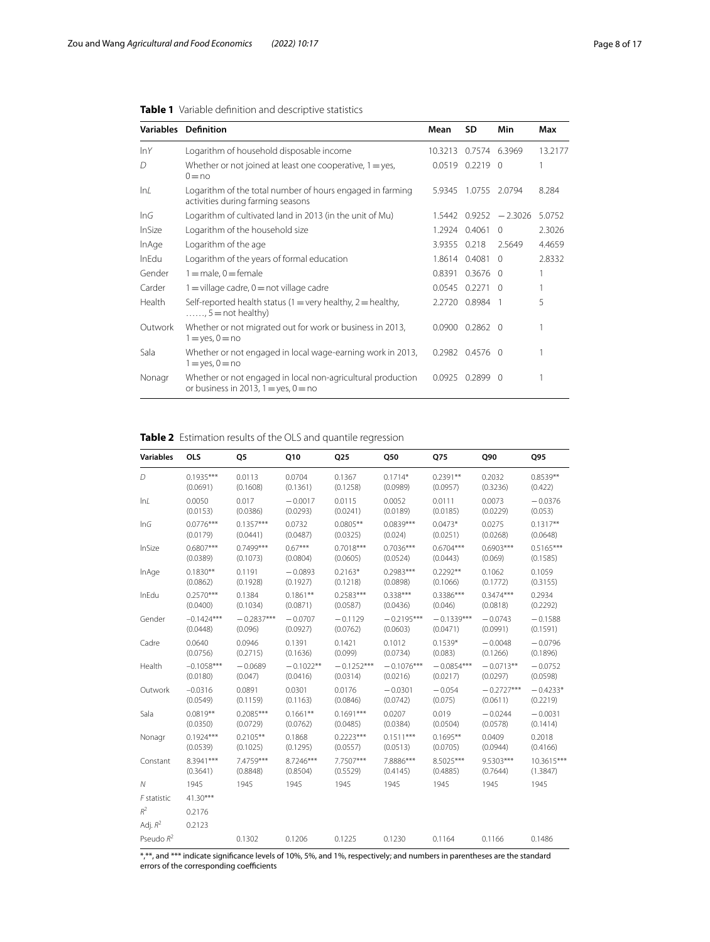|         | <b>Variables Definition</b>                                                                              | Mean         | SD                  | Min                       | Max     |
|---------|----------------------------------------------------------------------------------------------------------|--------------|---------------------|---------------------------|---------|
| lnY     | Logarithm of household disposable income                                                                 | 10.3213      |                     | 0.7574 6.3969             | 13.2177 |
| D       | Whether or not joined at least one cooperative, $1 = yes$ ,<br>$0 = no$                                  |              | $0.0519$ $0.2219$ 0 |                           |         |
| ln/     | Logarithm of the total number of hours engaged in farming<br>activities during farming seasons           | 5.9345       | 1.0755              | 2.0794                    | 8.284   |
| InG     | Logarithm of cultivated land in 2013 (in the unit of Mu)                                                 |              |                     | $1.5442$ 0.9252 $-2.3026$ | 5.0752  |
| InSize  | Logarithm of the household size                                                                          |              | 1.2924 0.4061       | $\Omega$                  | 2.3026  |
| InAge   | Logarithm of the age                                                                                     | 3.9355 0.218 |                     | 2.5649                    | 4.4659  |
| InEdu   | Logarithm of the years of formal education                                                               |              | 1.8614 0.4081       | $\Omega$                  | 2.8332  |
| Gender  | $1 =$ male, $0 =$ female                                                                                 |              | 0.8391 0.3676       | $\Omega$                  |         |
| Carder  | $1 =$ village cadre, $0 =$ not village cadre                                                             |              | 0.0545 0.2271       | $\Omega$                  |         |
| Health  | Self-reported health status (1 = very healthy, 2 = healthy,<br>$\ldots$ , 5 = not healthy)               |              | 2.2720 0.8984       | - 1                       | 5       |
| Outwork | Whether or not migrated out for work or business in 2013,<br>$1 = yes, 0 = no$                           | 0.0900       | $0.2862$ 0          |                           |         |
| Sala    | Whether or not engaged in local wage-earning work in 2013,<br>$1 = yes, 0 = no$                          | 0.2982       | $0.4576$ 0          |                           |         |
| Nonagr  | Whether or not engaged in local non-agricultural production<br>or business in 2013, $1 = yes$ , $0 = no$ | 0.0925       | 0.28990             |                           |         |

<span id="page-7-0"></span>

<span id="page-7-1"></span>**Table 2** Estimation results of the OLS and quantile regression

| <b>Variables</b> | <b>OLS</b>   | Q5           | Q10         | Q25          | Q50          | Q75          | Q90          | Q95         |
|------------------|--------------|--------------|-------------|--------------|--------------|--------------|--------------|-------------|
| D                | $0.1935***$  | 0.0113       | 0.0704      | 0.1367       | $0.1714*$    | $0.2391**$   | 0.2032       | $0.8539**$  |
|                  | (0.0691)     | (0.1608)     | (0.1361)    | (0.1258)     | (0.0989)     | (0.0957)     | (0.3236)     | (0.422)     |
| lnL              | 0.0050       | 0.017        | $-0.0017$   | 0.0115       | 0.0052       | 0.0111       | 0.0073       | $-0.0376$   |
|                  | (0.0153)     | (0.0386)     | (0.0293)    | (0.0241)     | (0.0189)     | (0.0185)     | (0.0229)     | (0.053)     |
| InG              | $0.0776***$  | $0.1357***$  | 0.0732      | $0.0805**$   | $0.0839***$  | $0.0473*$    | 0.0275       | $0.1317**$  |
|                  | (0.0179)     | (0.0441)     | (0.0487)    | (0.0325)     | (0.024)      | (0.0251)     | (0.0268)     | (0.0648)    |
| InSize           | $0.6807***$  | $0.7499***$  | $0.67***$   | $0.7018***$  | $0.7036***$  | $0.6704***$  | $0.6903***$  | $0.5165***$ |
|                  | (0.0389)     | (0.1073)     | (0.0804)    | (0.0605)     | (0.0524)     | (0.0443)     | (0.069)      | (0.1585)    |
| InAge            | $0.1830**$   | 0.1191       | $-0.0893$   | $0.2163*$    | $0.2983***$  | $0.2292**$   | 0.1062       | 0.1059      |
|                  | (0.0862)     | (0.1928)     | (0.1927)    | (0.1218)     | (0.0898)     | (0.1066)     | (0.1772)     | (0.3155)    |
| InEdu            | $0.2570***$  | 0.1384       | $0.1861**$  | $0.2583***$  | $0.338***$   | $0.3386***$  | $0.3474***$  | 0.2934      |
|                  | (0.0400)     | (0.1034)     | (0.0871)    | (0.0587)     | (0.0436)     | (0.046)      | (0.0818)     | (0.2292)    |
| Gender           | $-0.1424***$ | $-0.2837***$ | $-0.0707$   | $-0.1129$    | $-0.2195***$ | $-0.1339***$ | $-0.0743$    | $-0.1588$   |
|                  | (0.0448)     | (0.096)      | (0.0927)    | (0.0762)     | (0.0603)     | (0.0471)     | (0.0991)     | (0.1591)    |
| Cadre            | 0.0640       | 0.0946       | 0.1391      | 0.1421       | 0.1012       | $0.1539*$    | $-0.0048$    | $-0.0796$   |
|                  | (0.0756)     | (0.2715)     | (0.1636)    | (0.099)      | (0.0734)     | (0.083)      | (0.1266)     | (0.1896)    |
| Health           | $-0.1058***$ | $-0.0689$    | $-0.1022**$ | $-0.1252***$ | $-0.1076***$ | $-0.0854***$ | $-0.0713**$  | $-0.0752$   |
|                  | (0.0180)     | (0.047)      | (0.0416)    | (0.0314)     | (0.0216)     | (0.0217)     | (0.0297)     | (0.0598)    |
| Outwork          | $-0.0316$    | 0.0891       | 0.0301      | 0.0176       | $-0.0301$    | $-0.054$     | $-0.2727***$ | $-0.4233*$  |
|                  | (0.0549)     | (0.1159)     | (0.1163)    | (0.0846)     | (0.0742)     | (0.075)      | (0.0611)     | (0.2219)    |
| Sala             | $0.0819**$   | $0.2085***$  | $0.1661**$  | $0.1691***$  | 0.0207       | 0.019        | $-0.0244$    | $-0.0031$   |
|                  | (0.0350)     | (0.0729)     | (0.0762)    | (0.0485)     | (0.0384)     | (0.0504)     | (0.0578)     | (0.1414)    |
| Nonagr           | $0.1924***$  | $0.2105**$   | 0.1868      | $0.2223***$  | $0.1511***$  | $0.1695**$   | 0.0409       | 0.2018      |
|                  | (0.0539)     | (0.1025)     | (0.1295)    | (0.0557)     | (0.0513)     | (0.0705)     | (0.0944)     | (0.4166)    |
| Constant         | 8.3941***    | 7.4759***    | 8.7246***   | 7.7507***    | 7.8886***    | 8.5025***    | 9.5303***    | 10.3615***  |
|                  | (0.3641)     | (0.8848)     | (0.8504)    | (0.5529)     | (0.4145)     | (0.4885)     | (0.7644)     | (1.3847)    |
| Ν                | 1945         | 1945         | 1945        | 1945         | 1945         | 1945         | 1945         | 1945        |
| F statistic      | $41.30***$   |              |             |              |              |              |              |             |
| $R^2$            | 0.2176       |              |             |              |              |              |              |             |
| Adj. $R^2$       | 0.2123       |              |             |              |              |              |              |             |
| Pseudo $R^2$     |              | 0.1302       | 0.1206      | 0.1225       | 0.1230       | 0.1164       | 0.1166       | 0.1486      |

\*,\*\*, and \*\*\* indicate signifcance levels of 10%, 5%, and 1%, respectively; and numbers in parentheses are the standard errors of the corresponding coefficients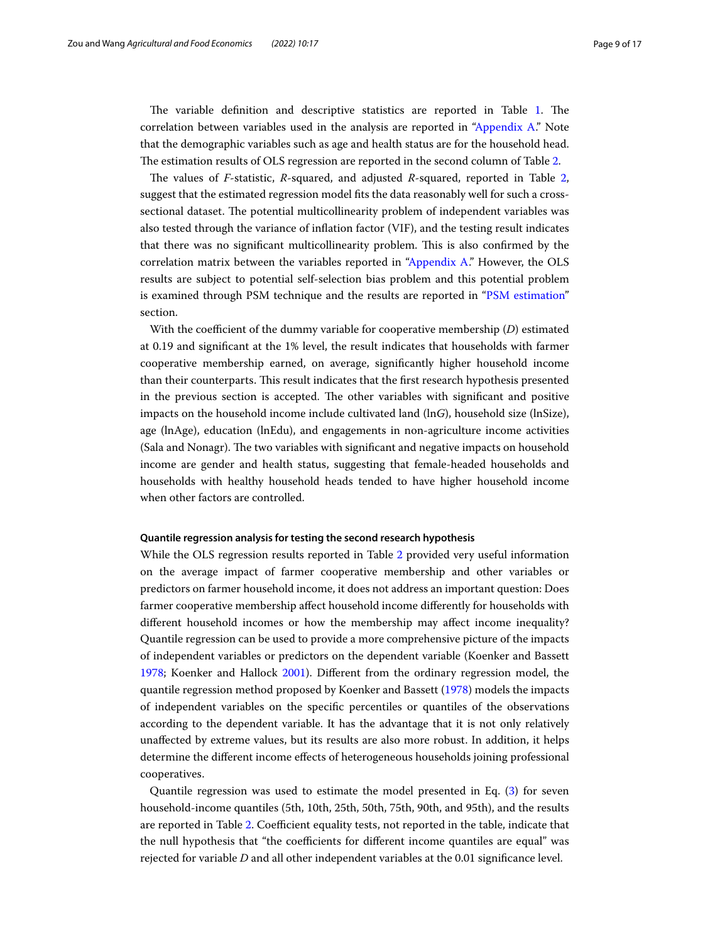The variable definition and descriptive statistics are reported in Table [1.](#page-7-0) The correlation between variables used in the analysis are reported in ["Appendix A](#page-14-0)." Note that the demographic variables such as age and health status are for the household head. The estimation results of OLS regression are reported in the second column of Table [2.](#page-7-1)

The values of *F*-statistic, *R*-squared, and adjusted *R*-squared, reported in Table [2](#page-7-1), suggest that the estimated regression model fts the data reasonably well for such a crosssectional dataset. The potential multicollinearity problem of independent variables was also tested through the variance of infation factor (VIF), and the testing result indicates that there was no signifcant multicollinearity problem. Tis is also confrmed by the correlation matrix between the variables reported in ["Appendix A](#page-14-0)." However, the OLS results are subject to potential self-selection bias problem and this potential problem is examined through PSM technique and the results are reported in ["PSM estimation"](#page-9-0) section.

With the coefficient of the dummy variable for cooperative membership (*D*) estimated at 0.19 and signifcant at the 1% level, the result indicates that households with farmer cooperative membership earned, on average, signifcantly higher household income than their counterparts. This result indicates that the first research hypothesis presented in the previous section is accepted. The other variables with significant and positive impacts on the household income include cultivated land (ln*G*), household size (lnSize), age (lnAge), education (lnEdu), and engagements in non-agriculture income activities (Sala and Nonagr). The two variables with significant and negative impacts on household income are gender and health status, suggesting that female-headed households and households with healthy household heads tended to have higher household income when other factors are controlled.

#### **Quantile regression analysis for testing the second research hypothesis**

While the OLS regression results reported in Table [2](#page-7-1) provided very useful information on the average impact of farmer cooperative membership and other variables or predictors on farmer household income, it does not address an important question: Does farmer cooperative membership afect household income diferently for households with diferent household incomes or how the membership may afect income inequality? Quantile regression can be used to provide a more comprehensive picture of the impacts of independent variables or predictors on the dependent variable (Koenker and Bassett [1978](#page-15-26); Koenker and Hallock [2001\)](#page-15-27). Diferent from the ordinary regression model, the quantile regression method proposed by Koenker and Bassett [\(1978\)](#page-15-26) models the impacts of independent variables on the specifc percentiles or quantiles of the observations according to the dependent variable. It has the advantage that it is not only relatively unafected by extreme values, but its results are also more robust. In addition, it helps determine the diferent income efects of heterogeneous households joining professional cooperatives.

Quantile regression was used to estimate the model presented in Eq. ([3\)](#page-6-1) for seven household-income quantiles (5th, 10th, 25th, 50th, 75th, 90th, and 95th), and the results are reported in Table [2.](#page-7-1) Coefficient equality tests, not reported in the table, indicate that the null hypothesis that "the coefficients for different income quantiles are equal" was rejected for variable *D* and all other independent variables at the 0.01 signifcance level.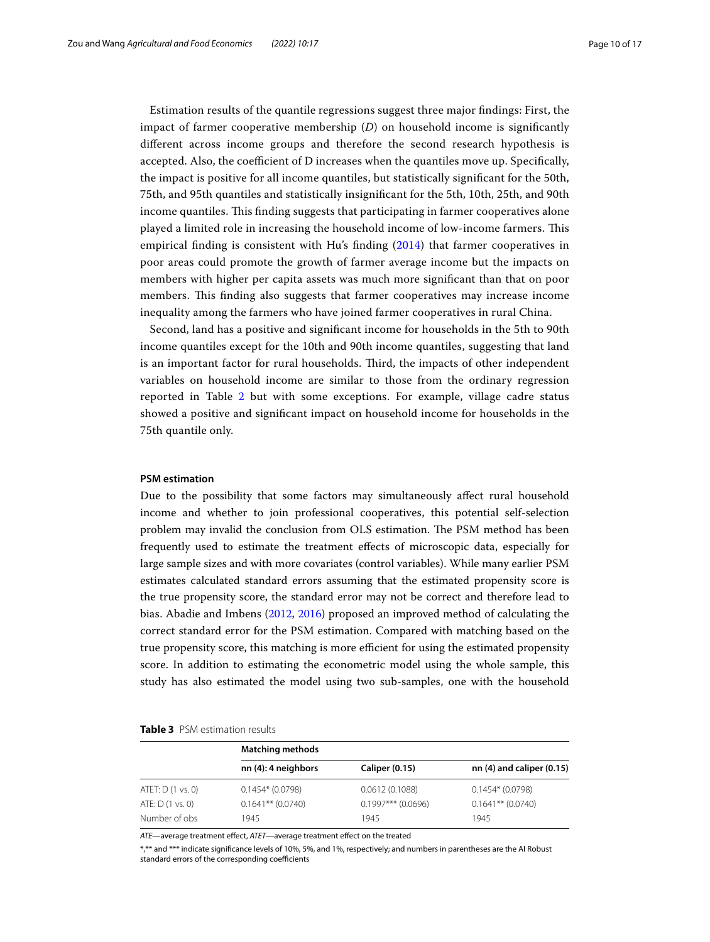Estimation results of the quantile regressions suggest three major fndings: First, the impact of farmer cooperative membership (*D*) on household income is signifcantly diferent across income groups and therefore the second research hypothesis is accepted. Also, the coefficient of  $D$  increases when the quantiles move up. Specifically, the impact is positive for all income quantiles, but statistically signifcant for the 50th, 75th, and 95th quantiles and statistically insignifcant for the 5th, 10th, 25th, and 90th income quantiles. This finding suggests that participating in farmer cooperatives alone played a limited role in increasing the household income of low-income farmers. Tis empirical fnding is consistent with Hu's fnding ([2014\)](#page-15-12) that farmer cooperatives in poor areas could promote the growth of farmer average income but the impacts on members with higher per capita assets was much more signifcant than that on poor members. This finding also suggests that farmer cooperatives may increase income inequality among the farmers who have joined farmer cooperatives in rural China.

Second, land has a positive and signifcant income for households in the 5th to 90th income quantiles except for the 10th and 90th income quantiles, suggesting that land is an important factor for rural households. Tird, the impacts of other independent variables on household income are similar to those from the ordinary regression reported in Table [2](#page-7-1) but with some exceptions. For example, village cadre status showed a positive and signifcant impact on household income for households in the 75th quantile only.

## <span id="page-9-0"></span>**PSM estimation**

Due to the possibility that some factors may simultaneously afect rural household income and whether to join professional cooperatives, this potential self-selection problem may invalid the conclusion from OLS estimation. The PSM method has been frequently used to estimate the treatment efects of microscopic data, especially for large sample sizes and with more covariates (control variables). While many earlier PSM estimates calculated standard errors assuming that the estimated propensity score is the true propensity score, the standard error may not be correct and therefore lead to bias. Abadie and Imbens [\(2012](#page-14-1), [2016\)](#page-14-2) proposed an improved method of calculating the correct standard error for the PSM estimation. Compared with matching based on the true propensity score, this matching is more efficient for using the estimated propensity score. In addition to estimating the econometric model using the whole sample, this study has also estimated the model using two sub-samples, one with the household

<span id="page-9-1"></span>

|                   | <b>Matching methods</b> |                       |                               |  |  |  |  |  |  |
|-------------------|-------------------------|-----------------------|-------------------------------|--|--|--|--|--|--|
|                   | nn (4): 4 neighbors     | <b>Caliper (0.15)</b> | nn $(4)$ and caliper $(0.15)$ |  |  |  |  |  |  |
| ATET: D (1 vs. 0) | $0.1454*(0.0798)$       | 0.0612(0.1088)        | $0.1454*(0.0798)$             |  |  |  |  |  |  |
| ATE: $D(1 vs. 0)$ | $0.1641**$ (0.0740)     | $0.1997***$ (0.0696)  | $0.1641**$ (0.0740)           |  |  |  |  |  |  |
| Number of obs     | 1945                    | 1945                  | 1945                          |  |  |  |  |  |  |

ATE—average treatment effect, ATET—average treatment effect on the treated

\*,\*\* and \*\*\* indicate signifcance levels of 10%, 5%, and 1%, respectively; and numbers in parentheses are the AI Robust standard errors of the corresponding coefficients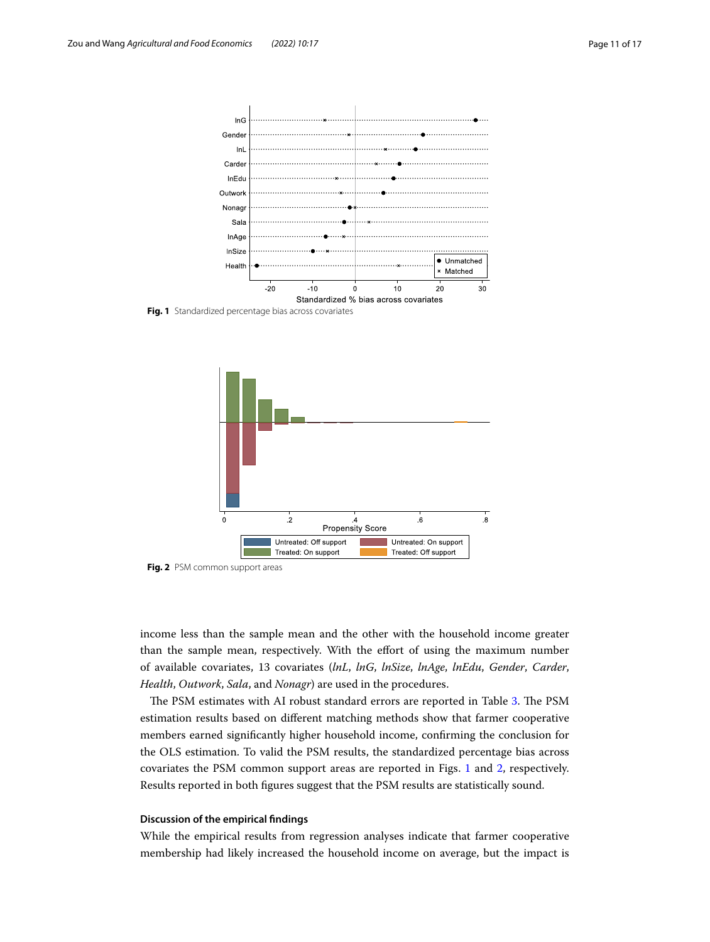

<span id="page-10-0"></span>**Fig. 1** Standardized percentage bias across covariates



<span id="page-10-1"></span>**Fig. 2** PSM common support areas

income less than the sample mean and the other with the household income greater than the sample mean, respectively. With the effort of using the maximum number of available covariates, 13 covariates (*lnL*, *lnG*, *lnSize*, *lnAge*, *lnEdu*, *Gender*, *Carder*, *Health*, *Outwork*, *Sala*, and *Nonagr*) are used in the procedures.

The PSM estimates with AI robust standard errors are reported in Table [3](#page-9-1). The PSM estimation results based on diferent matching methods show that farmer cooperative members earned signifcantly higher household income, confrming the conclusion for the OLS estimation. To valid the PSM results, the standardized percentage bias across covariates the PSM common support areas are reported in Figs. [1](#page-10-0) and [2,](#page-10-1) respectively. Results reported in both fgures suggest that the PSM results are statistically sound.

#### **Discussion of the empirical fndings**

While the empirical results from regression analyses indicate that farmer cooperative membership had likely increased the household income on average, but the impact is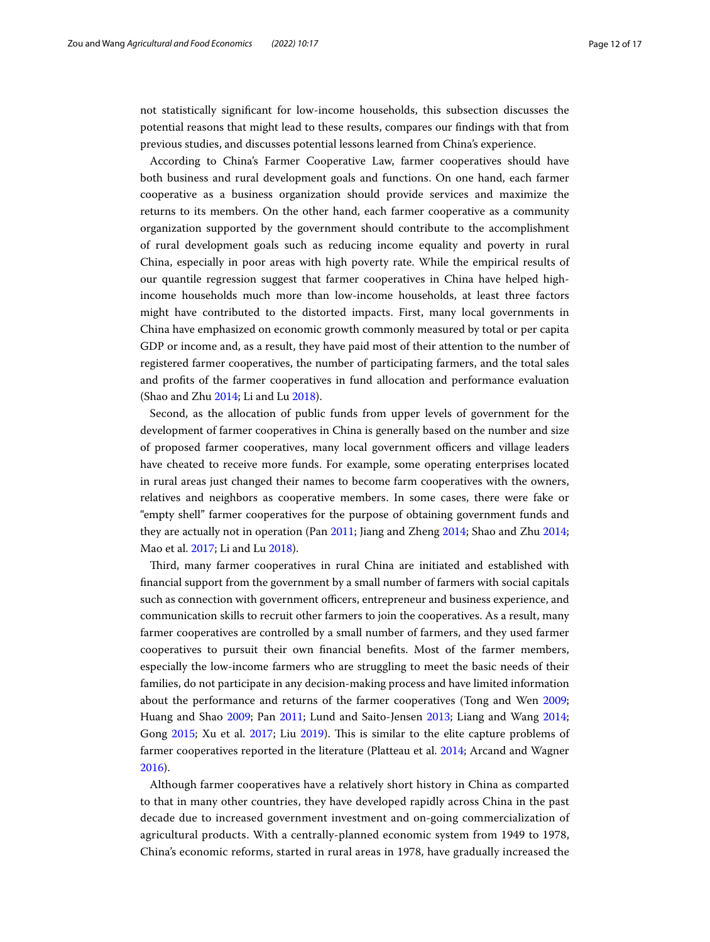not statistically signifcant for low-income households, this subsection discusses the potential reasons that might lead to these results, compares our fndings with that from previous studies, and discusses potential lessons learned from China's experience.

According to China's Farmer Cooperative Law, farmer cooperatives should have both business and rural development goals and functions. On one hand, each farmer cooperative as a business organization should provide services and maximize the returns to its members. On the other hand, each farmer cooperative as a community organization supported by the government should contribute to the accomplishment of rural development goals such as reducing income equality and poverty in rural China, especially in poor areas with high poverty rate. While the empirical results of our quantile regression suggest that farmer cooperatives in China have helped highincome households much more than low-income households, at least three factors might have contributed to the distorted impacts. First, many local governments in China have emphasized on economic growth commonly measured by total or per capita GDP or income and, as a result, they have paid most of their attention to the number of registered farmer cooperatives, the number of participating farmers, and the total sales and profts of the farmer cooperatives in fund allocation and performance evaluation (Shao and Zhu [2014;](#page-15-28) Li and Lu [2018\)](#page-15-29).

Second, as the allocation of public funds from upper levels of government for the development of farmer cooperatives in China is generally based on the number and size of proposed farmer cooperatives, many local government officers and village leaders have cheated to receive more funds. For example, some operating enterprises located in rural areas just changed their names to become farm cooperatives with the owners, relatives and neighbors as cooperative members. In some cases, there were fake or "empty shell" farmer cooperatives for the purpose of obtaining government funds and they are actually not in operation (Pan [2011](#page-15-30); Jiang and Zheng [2014](#page-15-31); Shao and Zhu [2014](#page-15-28); Mao et al. [2017;](#page-15-32) Li and Lu [2018](#page-15-29)).

Tird, many farmer cooperatives in rural China are initiated and established with fnancial support from the government by a small number of farmers with social capitals such as connection with government officers, entrepreneur and business experience, and communication skills to recruit other farmers to join the cooperatives. As a result, many farmer cooperatives are controlled by a small number of farmers, and they used farmer cooperatives to pursuit their own fnancial benefts. Most of the farmer members, especially the low-income farmers who are struggling to meet the basic needs of their families, do not participate in any decision-making process and have limited information about the performance and returns of the farmer cooperatives (Tong and Wen [2009](#page-16-12); Huang and Shao [2009](#page-15-33); Pan [2011](#page-15-30); Lund and Saito-Jensen [2013;](#page-15-34) Liang and Wang [2014](#page-15-35); Gong [2015;](#page-15-36) Xu et al. [2017](#page-16-13); Liu [2019\)](#page-15-37). This is similar to the elite capture problems of farmer cooperatives reported in the literature (Platteau et al. [2014](#page-15-38); Arcand and Wagner [2016](#page-15-39)).

Although farmer cooperatives have a relatively short history in China as comparted to that in many other countries, they have developed rapidly across China in the past decade due to increased government investment and on-going commercialization of agricultural products. With a centrally-planned economic system from 1949 to 1978, China's economic reforms, started in rural areas in 1978, have gradually increased the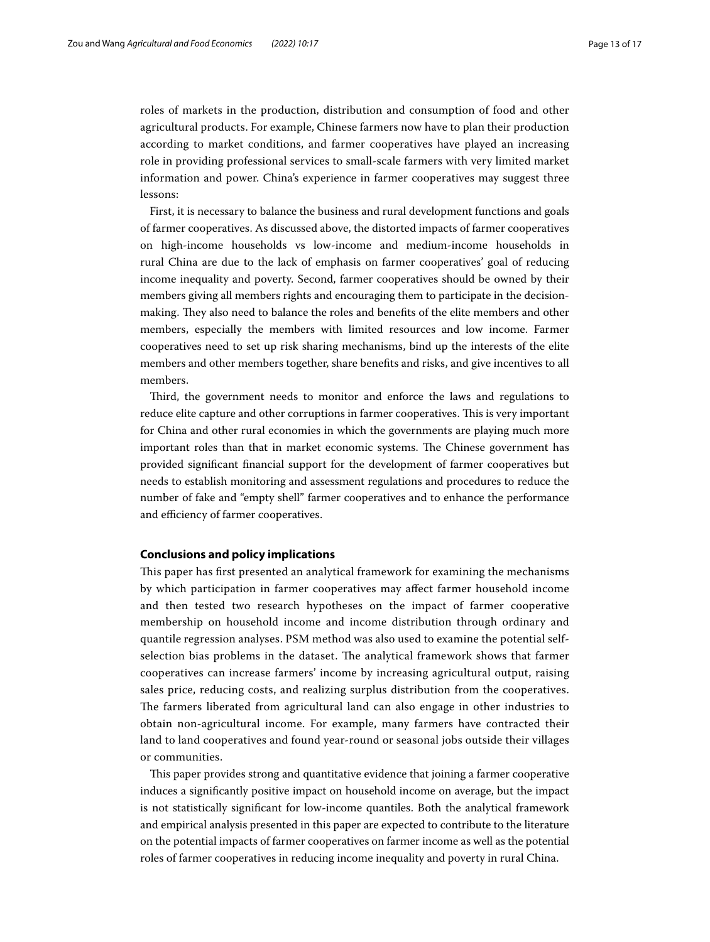roles of markets in the production, distribution and consumption of food and other agricultural products. For example, Chinese farmers now have to plan their production according to market conditions, and farmer cooperatives have played an increasing role in providing professional services to small-scale farmers with very limited market information and power. China's experience in farmer cooperatives may suggest three lessons:

First, it is necessary to balance the business and rural development functions and goals of farmer cooperatives. As discussed above, the distorted impacts of farmer cooperatives on high-income households vs low-income and medium-income households in rural China are due to the lack of emphasis on farmer cooperatives' goal of reducing income inequality and poverty. Second, farmer cooperatives should be owned by their members giving all members rights and encouraging them to participate in the decisionmaking. They also need to balance the roles and benefits of the elite members and other members, especially the members with limited resources and low income. Farmer cooperatives need to set up risk sharing mechanisms, bind up the interests of the elite members and other members together, share benefts and risks, and give incentives to all members.

Tird, the government needs to monitor and enforce the laws and regulations to reduce elite capture and other corruptions in farmer cooperatives. This is very important for China and other rural economies in which the governments are playing much more important roles than that in market economic systems. The Chinese government has provided signifcant fnancial support for the development of farmer cooperatives but needs to establish monitoring and assessment regulations and procedures to reduce the number of fake and "empty shell" farmer cooperatives and to enhance the performance and efficiency of farmer cooperatives.

## <span id="page-12-0"></span>**Conclusions and policy implications**

Tis paper has frst presented an analytical framework for examining the mechanisms by which participation in farmer cooperatives may afect farmer household income and then tested two research hypotheses on the impact of farmer cooperative membership on household income and income distribution through ordinary and quantile regression analyses. PSM method was also used to examine the potential selfselection bias problems in the dataset. The analytical framework shows that farmer cooperatives can increase farmers' income by increasing agricultural output, raising sales price, reducing costs, and realizing surplus distribution from the cooperatives. The farmers liberated from agricultural land can also engage in other industries to obtain non-agricultural income. For example, many farmers have contracted their land to land cooperatives and found year-round or seasonal jobs outside their villages or communities.

This paper provides strong and quantitative evidence that joining a farmer cooperative induces a signifcantly positive impact on household income on average, but the impact is not statistically signifcant for low-income quantiles. Both the analytical framework and empirical analysis presented in this paper are expected to contribute to the literature on the potential impacts of farmer cooperatives on farmer income as well as the potential roles of farmer cooperatives in reducing income inequality and poverty in rural China.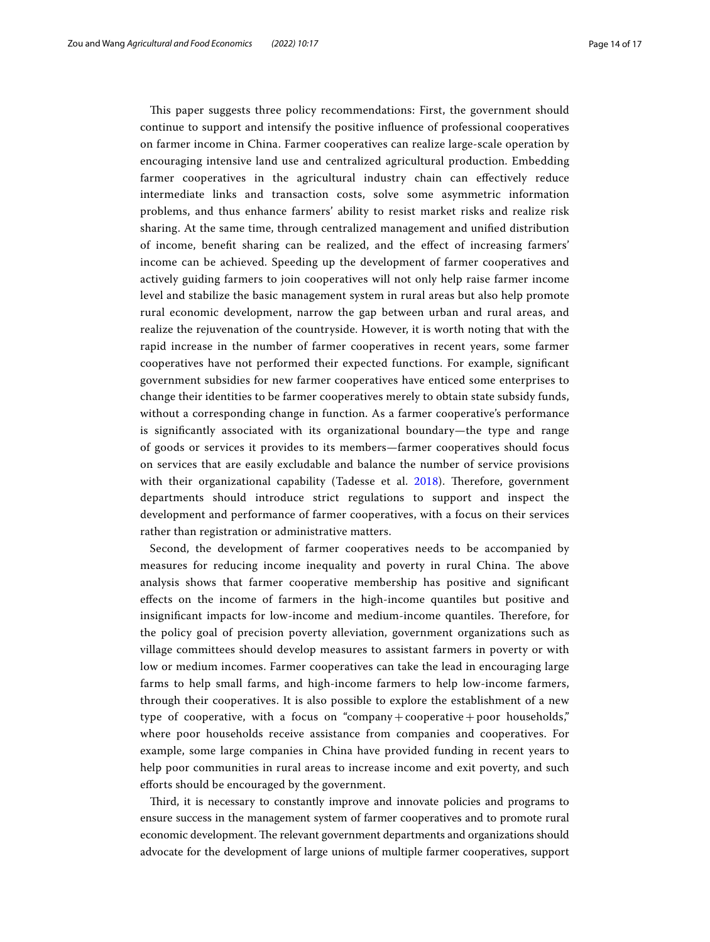This paper suggests three policy recommendations: First, the government should continue to support and intensify the positive infuence of professional cooperatives on farmer income in China. Farmer cooperatives can realize large-scale operation by encouraging intensive land use and centralized agricultural production. Embedding farmer cooperatives in the agricultural industry chain can efectively reduce intermediate links and transaction costs, solve some asymmetric information problems, and thus enhance farmers' ability to resist market risks and realize risk sharing. At the same time, through centralized management and unifed distribution of income, beneft sharing can be realized, and the efect of increasing farmers' income can be achieved. Speeding up the development of farmer cooperatives and actively guiding farmers to join cooperatives will not only help raise farmer income level and stabilize the basic management system in rural areas but also help promote rural economic development, narrow the gap between urban and rural areas, and realize the rejuvenation of the countryside. However, it is worth noting that with the rapid increase in the number of farmer cooperatives in recent years, some farmer cooperatives have not performed their expected functions. For example, signifcant government subsidies for new farmer cooperatives have enticed some enterprises to change their identities to be farmer cooperatives merely to obtain state subsidy funds, without a corresponding change in function. As a farmer cooperative's performance is signifcantly associated with its organizational boundary—the type and range of goods or services it provides to its members—farmer cooperatives should focus on services that are easily excludable and balance the number of service provisions with their organizational capability (Tadesse et al. [2018\)](#page-16-1). Therefore, government departments should introduce strict regulations to support and inspect the development and performance of farmer cooperatives, with a focus on their services rather than registration or administrative matters.

Second, the development of farmer cooperatives needs to be accompanied by measures for reducing income inequality and poverty in rural China. The above analysis shows that farmer cooperative membership has positive and signifcant efects on the income of farmers in the high-income quantiles but positive and insignificant impacts for low-income and medium-income quantiles. Therefore, for the policy goal of precision poverty alleviation, government organizations such as village committees should develop measures to assistant farmers in poverty or with low or medium incomes. Farmer cooperatives can take the lead in encouraging large farms to help small farms, and high-income farmers to help low-income farmers, through their cooperatives. It is also possible to explore the establishment of a new type of cooperative, with a focus on "company+cooperative+poor households," where poor households receive assistance from companies and cooperatives. For example, some large companies in China have provided funding in recent years to help poor communities in rural areas to increase income and exit poverty, and such eforts should be encouraged by the government.

Third, it is necessary to constantly improve and innovate policies and programs to ensure success in the management system of farmer cooperatives and to promote rural economic development. The relevant government departments and organizations should advocate for the development of large unions of multiple farmer cooperatives, support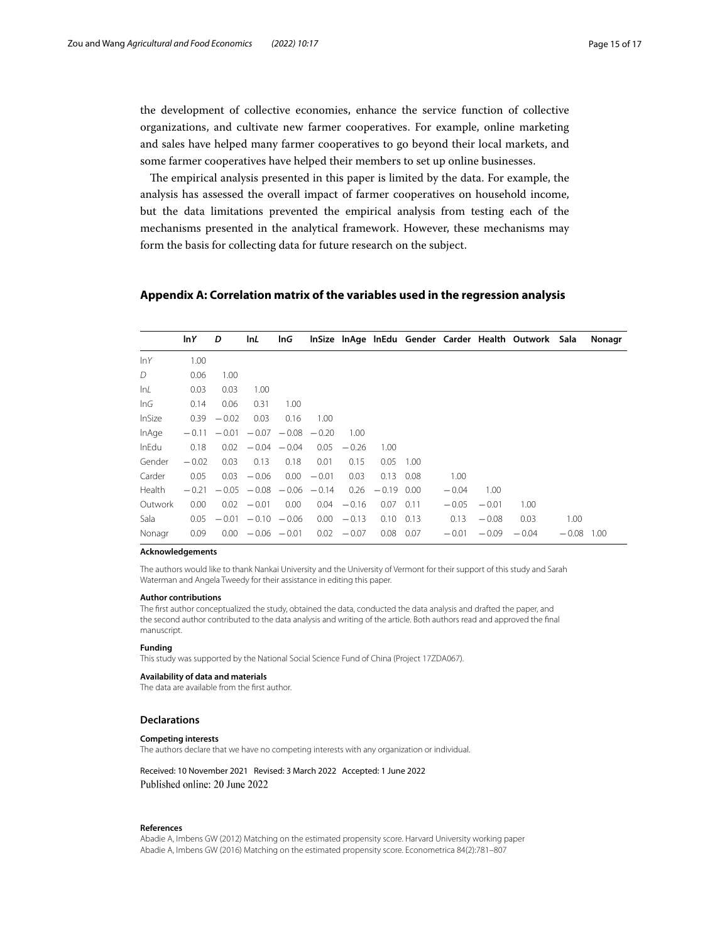the development of collective economies, enhance the service function of collective organizations, and cultivate new farmer cooperatives. For example, online marketing and sales have helped many farmer cooperatives to go beyond their local markets, and some farmer cooperatives have helped their members to set up online businesses.

The empirical analysis presented in this paper is limited by the data. For example, the analysis has assessed the overall impact of farmer cooperatives on household income, but the data limitations prevented the empirical analysis from testing each of the mechanisms presented in the analytical framework. However, these mechanisms may form the basis for collecting data for future research on the subject.

## <span id="page-14-0"></span>**Appendix A: Correlation matrix of the variables used in the regression analysis**

|              | In Y    | D                 | InL                             | InG                   |               |         |              |      |         |         | InSize InAge InEdu Gender Carder Health Outwork Sala |         | Nonagr |
|--------------|---------|-------------------|---------------------------------|-----------------------|---------------|---------|--------------|------|---------|---------|------------------------------------------------------|---------|--------|
| lnY          | 1.00    |                   |                                 |                       |               |         |              |      |         |         |                                                      |         |        |
| D            | 0.06    | 1.00              |                                 |                       |               |         |              |      |         |         |                                                      |         |        |
| lnL          | 0.03    | 0.03              | 1.00                            |                       |               |         |              |      |         |         |                                                      |         |        |
| InG          | 0.14    | 0.06              | 0.31                            | 1.00                  |               |         |              |      |         |         |                                                      |         |        |
| InSize       | 0.39    | $-0.02$           | 0.03                            | 0.16                  | 1.00          |         |              |      |         |         |                                                      |         |        |
| InAge        | $-0.11$ | $-0.01$           |                                 | $-0.07 - 0.08 - 0.20$ |               | 1.00    |              |      |         |         |                                                      |         |        |
| <b>InEdu</b> | 0.18    | 0.02              |                                 | $-0.04 - 0.04$        | 0.05          | $-0.26$ | 1.00         |      |         |         |                                                      |         |        |
| Gender       | $-0.02$ | 0.03              | 0.13                            | 0.18                  | 0.01          | 0.15    | 0.05         | 1.00 |         |         |                                                      |         |        |
| Carder       | 0.05    | 0.03              | $-0.06$                         |                       | $0.00 - 0.01$ | 0.03    | 0.13         | 0.08 | 1.00    |         |                                                      |         |        |
| Health       | $-0.21$ |                   | $-0.05$ $-0.08$ $-0.06$ $-0.14$ |                       |               | 0.26    | $-0.19$ 0.00 |      | $-0.04$ | 1.00    |                                                      |         |        |
| Outwork      | 0.00    | 0.02              | $-0.01$                         | 0.00 <sub>1</sub>     | 0.04          | $-0.16$ | 0.07         | 0.11 | $-0.05$ | $-0.01$ | 1.00                                                 |         |        |
| Sala         | 0.05    |                   | $-0.01 - 0.10 - 0.06$           |                       | 0.00          | $-0.13$ | 0.10         | 0.13 | 0.13    | $-0.08$ | 0.03                                                 | 1.00    |        |
| Nonagr       | 0.09    | 0.00 <sub>1</sub> | $-0.06 - 0.01$                  |                       | 0.02          | $-0.07$ | 0.08         | 0.07 | $-0.01$ | $-0.09$ | $-0.04$                                              | $-0.08$ | 1.00   |

#### **Acknowledgements**

The authors would like to thank Nankai University and the University of Vermont for their support of this study and Sarah Waterman and Angela Tweedy for their assistance in editing this paper.

#### **Author contributions**

The frst author conceptualized the study, obtained the data, conducted the data analysis and drafted the paper, and the second author contributed to the data analysis and writing of the article. Both authors read and approved the fnal manuscript.

#### **Funding**

This study was supported by the National Social Science Fund of China (Project 17ZDA067).

#### **Availability of data and materials**

The data are available from the frst author.

#### **Declarations**

#### **Competing interests**

The authors declare that we have no competing interests with any organization or individual.

Received: 10 November 2021 Revised: 3 March 2022 Accepted: 1 June 2022 Published online: 20 June 2022

#### **References**

<span id="page-14-2"></span><span id="page-14-1"></span>Abadie A, Imbens GW (2012) Matching on the estimated propensity score. Harvard University working paper Abadie A, Imbens GW (2016) Matching on the estimated propensity score. Econometrica 84(2):781–807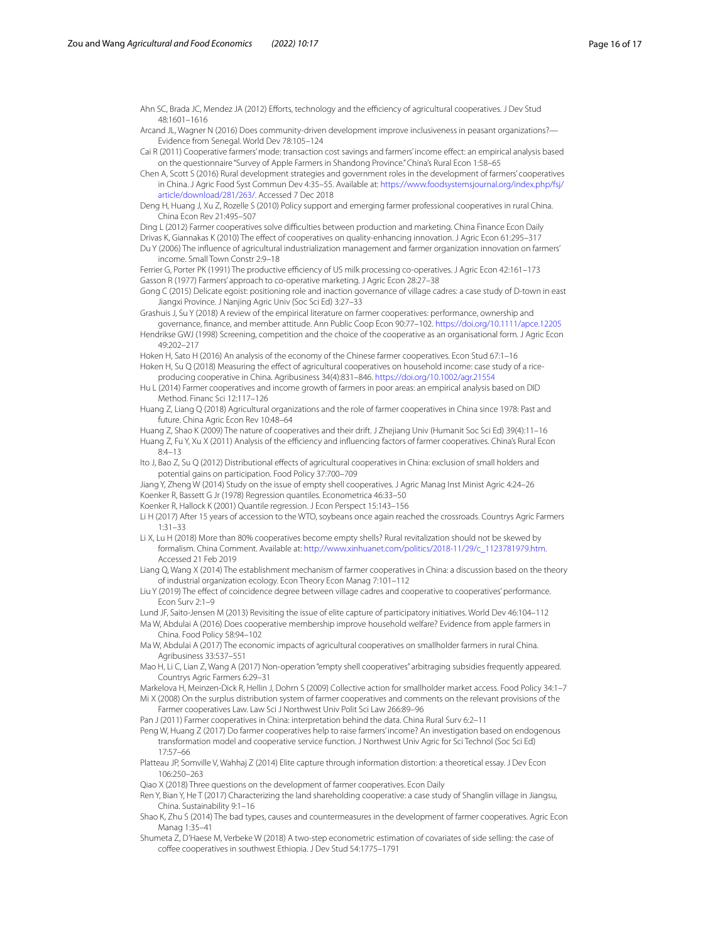<span id="page-15-2"></span>Ahn SC, Brada JC, Mendez JA (2012) Efforts, technology and the efficiency of agricultural cooperatives. J Dev Stud 48:1601–1616

<span id="page-15-39"></span>Arcand JL, Wagner N (2016) Does community-driven development improve inclusiveness in peasant organizations?— Evidence from Senegal. World Dev 78:105–124

<span id="page-15-23"></span>Cai R (2011) Cooperative farmers' mode: transaction cost savings and farmers' income efect: an empirical analysis based on the questionnaire "Survey of Apple Farmers in Shandong Province." China's Rural Econ 1:58–65

<span id="page-15-18"></span>Chen A, Scott S (2016) Rural development strategies and government roles in the development of farmers' cooperatives in China. J Agric Food Syst Commun Dev 4:35–55. Available at: [https://www.foodsystemsjournal.org/index.php/fsj/](https://www.foodsystemsjournal.org/index.php/fsj/article/download/281/263/) [article/download/281/263/.](https://www.foodsystemsjournal.org/index.php/fsj/article/download/281/263/) Accessed 7 Dec 2018

<span id="page-15-6"></span>Deng H, Huang J, Xu Z, Rozelle S (2010) Policy support and emerging farmer professional cooperatives in rural China. China Econ Rev 21:495–507

<span id="page-15-9"></span>Ding L (2012) Farmer cooperatives solve difficulties between production and marketing. China Finance Econ Daily

<span id="page-15-22"></span><span id="page-15-11"></span>Drivas K, Giannakas K (2010) The efect of cooperatives on quality-enhancing innovation. J Agric Econ 61:295–317 Du Y (2006) The infuence of agricultural industrialization management and farmer organization innovation on farmers' income. Small Town Constr 2:9–18

<span id="page-15-20"></span><span id="page-15-0"></span>Ferrier G, Porter PK (1991) The productive efficiency of US milk processing co-operatives. J Agric Econ 42:161-173 Gasson R (1977) Farmers' approach to co-operative marketing. J Agric Econ 28:27–38

<span id="page-15-36"></span>Gong C (2015) Delicate egoist: positioning role and inaction governance of village cadres: a case study of D-town in east Jiangxi Province. J Nanjing Agric Univ (Soc Sci Ed) 3:27–33

<span id="page-15-4"></span>Grashuis J, Su Y (2018) A review of the empirical literature on farmer cooperatives: performance, ownership and governance, fnance, and member attitude. Ann Public Coop Econ 90:77–102.<https://doi.org/10.1111/apce.12205>

<span id="page-15-24"></span>Hendrikse GWJ (1998) Screening, competition and the choice of the cooperative as an organisational form. J Agric Econ 49:202–217

<span id="page-15-13"></span>Hoken H, Sato H (2016) An analysis of the economy of the Chinese farmer cooperatives. Econ Stud 67:1–16 Hoken H, Su Q (2018) Measuring the efect of agricultural cooperatives on household income: case study of a rice-

<span id="page-15-7"></span>producing cooperative in China. Agribusiness 34(4):831–846. <https://doi.org/10.1002/agr.21554> Hu L (2014) Farmer cooperatives and income growth of farmers in poor areas: an empirical analysis based on DID

<span id="page-15-12"></span>Method. Financ Sci 12:117–126

<span id="page-15-10"></span>Huang Z, Liang Q (2018) Agricultural organizations and the role of farmer cooperatives in China since 1978: Past and future. China Agric Econ Rev 10:48–64

<span id="page-15-33"></span><span id="page-15-19"></span>Huang Z, Shao K (2009) The nature of cooperatives and their drift. J Zhejiang Univ (Humanit Soc Sci Ed) 39(4):11–16 Huang Z, Fu Y, Xu X (2011) Analysis of the efficiency and influencing factors of farmer cooperatives. China's Rural Econ 8:4–13

<span id="page-15-16"></span>Ito J, Bao Z, Su Q (2012) Distributional efects of agricultural cooperatives in China: exclusion of small holders and potential gains on participation. Food Policy 37:700–709

<span id="page-15-31"></span><span id="page-15-26"></span>Jiang Y, Zheng W (2014) Study on the issue of empty shell cooperatives. J Agric Manag Inst Minist Agric 4:24–26 Koenker R, Bassett G Jr (1978) Regression quantiles. Econometrica 46:33–50

<span id="page-15-27"></span>Koenker R, Hallock K (2001) Quantile regression. J Econ Perspect 15:143–156

<span id="page-15-5"></span>Li H (2017) After 15 years of accession to the WTO, soybeans once again reached the crossroads. Countrys Agric Farmers 1:31–33

<span id="page-15-29"></span>Li X, Lu H (2018) More than 80% cooperatives become empty shells? Rural revitalization should not be skewed by formalism. China Comment. Available at: [http://www.xinhuanet.com/politics/2018-11/29/c\\_1123781979.htm.](http://www.xinhuanet.com/politics/2018-11/29/c_1123781979.htm) Accessed 21 Feb 2019

<span id="page-15-35"></span>Liang Q, Wang X (2014) The establishment mechanism of farmer cooperatives in China: a discussion based on the theory of industrial organization ecology. Econ Theory Econ Manag 7:101–112

<span id="page-15-37"></span>Liu Y (2019) The efect of coincidence degree between village cadres and cooperative to cooperatives' performance. Econ Surv 2:1–9

<span id="page-15-34"></span><span id="page-15-17"></span>Lund JF, Saito-Jensen M (2013) Revisiting the issue of elite capture of participatory initiatives. World Dev 46:104–112 Ma W, Abdulai A (2016) Does cooperative membership improve household welfare? Evidence from apple farmers in China. Food Policy 58:94–102

<span id="page-15-15"></span>Ma W, Abdulai A (2017) The economic impacts of agricultural cooperatives on smallholder farmers in rural China. Agribusiness 33:537–551

<span id="page-15-32"></span>Mao H, Li C, Lian Z, Wang A (2017) Non-operation "empty shell cooperatives" arbitraging subsidies frequently appeared. Countrys Agric Farmers 6:29–31

<span id="page-15-25"></span><span id="page-15-1"></span>Markelova H, Meinzen-Dick R, Hellin J, Dohrn S (2009) Collective action for smallholder market access. Food Policy 34:1–7 Mi X (2008) On the surplus distribution system of farmer cooperatives and comments on the relevant provisions of the

Farmer cooperatives Law. Law Sci J Northwest Univ Polit Sci Law 266:89–96

<span id="page-15-30"></span>Pan J (2011) Farmer cooperatives in China: interpretation behind the data. China Rural Surv 6:2-11

<span id="page-15-14"></span>Peng W, Huang Z (2017) Do farmer cooperatives help to raise farmers' income? An investigation based on endogenous transformation model and cooperative service function. J Northwest Univ Agric for Sci Technol (Soc Sci Ed) 17:57–66

<span id="page-15-38"></span>Platteau JP, Somville V, Wahhaj Z (2014) Elite capture through information distortion: a theoretical essay. J Dev Econ 106:250–263

<span id="page-15-8"></span>Qiao X (2018) Three questions on the development of farmer cooperatives. Econ Daily

<span id="page-15-21"></span>Ren Y, Bian Y, He T (2017) Characterizing the land shareholding cooperative: a case study of Shanglin village in Jiangsu, China. Sustainability 9:1–16

<span id="page-15-28"></span>Shao K, Zhu S (2014) The bad types, causes and countermeasures in the development of farmer cooperatives. Agric Econ Manag 1:35–41

<span id="page-15-3"></span>Shumeta Z, D'Haese M, Verbeke W (2018) A two-step econometric estimation of covariates of side selling: the case of coffee cooperatives in southwest Ethiopia. J Dev Stud 54:1775-1791